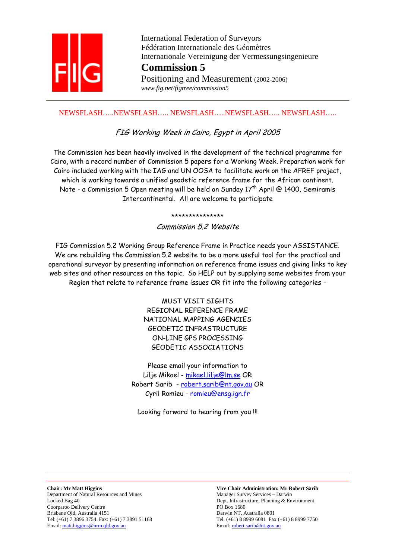

 International Federation of Surveyors Fédération Internationale des Géomètres Internationale Vereinigung der Vermessungsingenieure **Commission 5** Positioning and Measurement (2002-2006)

 *www.fig.net/figtree/commission5* 

# NEWSFLASH…..NEWSFLASH….. NEWSFLASH…..NEWSFLASH….. NEWSFLASH…..

# FIG Working Week in Cairo, Egypt in April 2005

The Commission has been heavily involved in the development of the technical programme for Cairo, with a record number of Commission 5 papers for a Working Week. Preparation work for Cairo included working with the IAG and UN OOSA to facilitate work on the AFREF project, which is working towards a unified geodetic reference frame for the African continent. Note - a Commission 5 Open meeting will be held on Sunday  $17<sup>th</sup>$  April @ 1400, Semiramis Intercontinental. All are welcome to participate

#### \*\*\*\*\*\*\*\*\*\*\*\*\*\*\*

Commission 5.2 Website

FIG Commission 5.2 Working Group Reference Frame in Practice needs your ASSISTANCE. We are rebuilding the Commission 5.2 website to be a more useful tool for the practical and operational surveyor by presenting information on reference frame issues and giving links to key web sites and other resources on the topic. So HELP out by supplying some websites from your Region that relate to reference frame issues OR fit into the following categories -

> MUST VISIT SIGHTS REGIONAL REFERENCE FRAME NATIONAL MAPPING AGENCIES GEODETIC INFRASTRUCTURE ON-LINE GPS PROCESSING GEODETIC ASSOCIATIONS

Please email your information to Lilje Mikael - mikael.lilje@lm.se OR Robert Sarib - robert.sarib@nt.gov.au OR Cyril Romieu - romieu@ensq.ign.fr

Looking forward to hearing from you !!!

**Chair: Mr Matt Higgins Vice Chair Administration: Mr Robert Sarib**  Department of Natural Resources and Mines Manager Survey Services – Darwin Locked Bag 40 Dept. Infrastructure, Planning & Environment Coorparoo Delivery Centre PO Box 1680 Brisbane Qld, Australia 4151 Darwin NT, Australia 0801 Tel: (+61) 7 3896 3754 Fax: (+61) 7 3891 51168 Tel. (+61) 8 8999 6081 Fax (+61) 8 8999 7750<br>
Email: <u>robert.sarib@nt.gov.au</u><br>
Email: <u>robert.sarib@nt.gov.au</u> Email: matt.higgins@nrm.qld.gov.au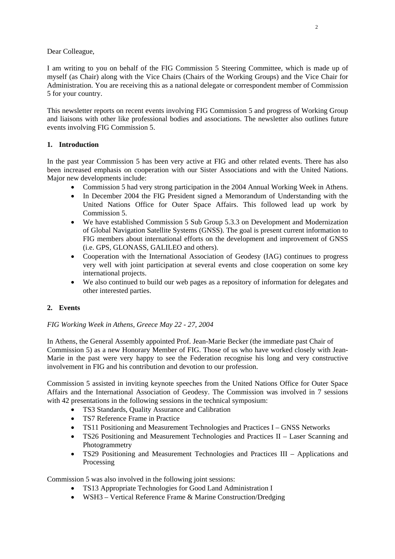# Dear Colleague,

I am writing to you on behalf of the FIG Commission 5 Steering Committee, which is made up of myself (as Chair) along with the Vice Chairs (Chairs of the Working Groups) and the Vice Chair for Administration. You are receiving this as a national delegate or correspondent member of Commission 5 for your country.

This newsletter reports on recent events involving FIG Commission 5 and progress of Working Group and liaisons with other like professional bodies and associations. The newsletter also outlines future events involving FIG Commission 5.

# **1. Introduction**

In the past year Commission 5 has been very active at FIG and other related events. There has also been increased emphasis on cooperation with our Sister Associations and with the United Nations. Major new developments include:

- Commission 5 had very strong participation in the 2004 Annual Working Week in Athens.
- In December 2004 the FIG President signed a Memorandum of Understanding with the United Nations Office for Outer Space Affairs. This followed lead up work by Commission 5.
- We have established Commission 5 Sub Group 5.3.3 on Development and Modernization of Global Navigation Satellite Systems (GNSS). The goal is present current information to FIG members about international efforts on the development and improvement of GNSS (i.e. GPS, GLONASS, GALILEO and others).
- Cooperation with the International Association of Geodesy (IAG) continues to progress very well with joint participation at several events and close cooperation on some key international projects.
- We also continued to build our web pages as a repository of information for delegates and other interested parties.

# **2. Events**

### *FIG Working Week in Athens, Greece May 22 - 27, 2004*

In Athens, the General Assembly appointed Prof. Jean-Marie Becker (the immediate past Chair of Commission 5) as a new Honorary Member of FIG. Those of us who have worked closely with Jean-Marie in the past were very happy to see the Federation recognise his long and very constructive involvement in FIG and his contribution and devotion to our profession.

Commission 5 assisted in inviting keynote speeches from the United Nations Office for Outer Space Affairs and the International Association of Geodesy. The Commission was involved in 7 sessions with 42 presentations in the following sessions in the technical symposium:

- TS3 Standards, Quality Assurance and Calibration
- TS7 Reference Frame in Practice
- TS11 Positioning and Measurement Technologies and Practices I GNSS Networks
- TS26 Positioning and Measurement Technologies and Practices II Laser Scanning and Photogrammetry
- TS29 Positioning and Measurement Technologies and Practices III Applications and Processing

Commission 5 was also involved in the following joint sessions:

- TS13 Appropriate Technologies for Good Land Administration I
- WSH3 Vertical Reference Frame & Marine Construction/Dredging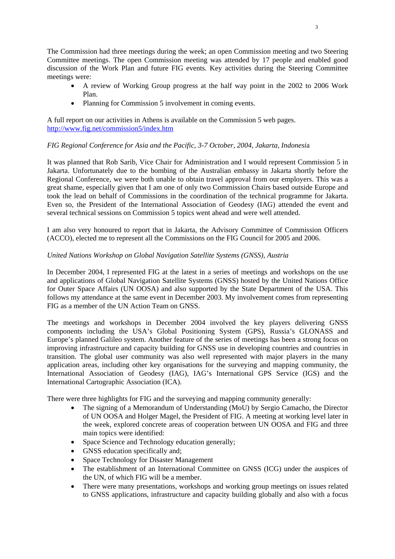The Commission had three meetings during the week; an open Commission meeting and two Steering Committee meetings. The open Commission meeting was attended by 17 people and enabled good discussion of the Work Plan and future FIG events. Key activities during the Steering Committee meetings were:

- A review of Working Group progress at the half way point in the 2002 to 2006 Work Plan.
- Planning for Commission 5 involvement in coming events.

A full report on our activities in Athens is available on the Commission 5 web pages. http://www.fig.net/commission5/index.htm

### *FIG Regional Conference for Asia and the Pacific, 3-7 October, 2004, Jakarta, Indonesi*a

It was planned that Rob Sarib, Vice Chair for Administration and I would represent Commission 5 in Jakarta. Unfortunately due to the bombing of the Australian embassy in Jakarta shortly before the Regional Conference, we were both unable to obtain travel approval from our employers. This was a great shame, especially given that I am one of only two Commission Chairs based outside Europe and took the lead on behalf of Commissions in the coordination of the technical programme for Jakarta. Even so, the President of the International Association of Geodesy (IAG) attended the event and several technical sessions on Commission 5 topics went ahead and were well attended.

I am also very honoured to report that in Jakarta, the Advisory Committee of Commission Officers (ACCO), elected me to represent all the Commissions on the FIG Council for 2005 and 2006.

### *United Nations Workshop on Global Navigation Satellite Systems (GNSS), Austria*

In December 2004, I represented FIG at the latest in a series of meetings and workshops on the use and applications of Global Navigation Satellite Systems (GNSS) hosted by the United Nations Office for Outer Space Affairs (UN OOSA) and also supported by the State Department of the USA. This follows my attendance at the same event in December 2003. My involvement comes from representing FIG as a member of the UN Action Team on GNSS.

The meetings and workshops in December 2004 involved the key players delivering GNSS components including the USA's Global Positioning System (GPS), Russia's GLONASS and Europe's planned Galileo system. Another feature of the series of meetings has been a strong focus on improving infrastructure and capacity building for GNSS use in developing countries and countries in transition. The global user community was also well represented with major players in the many application areas, including other key organisations for the surveying and mapping community, the International Association of Geodesy (IAG), IAG's International GPS Service (IGS) and the International Cartographic Association (ICA).

There were three highlights for FIG and the surveying and mapping community generally:

- The signing of a Memorandum of Understanding (MoU) by Sergio Camacho, the Director of UN OOSA and Holger Magel, the President of FIG. A meeting at working level later in the week, explored concrete areas of cooperation between UN OOSA and FIG and three main topics were identified:
- Space Science and Technology education generally;
- GNSS education specifically and;
- Space Technology for Disaster Management
- The establishment of an International Committee on GNSS (ICG) under the auspices of the UN, of which FIG will be a member.
- There were many presentations, workshops and working group meetings on issues related to GNSS applications, infrastructure and capacity building globally and also with a focus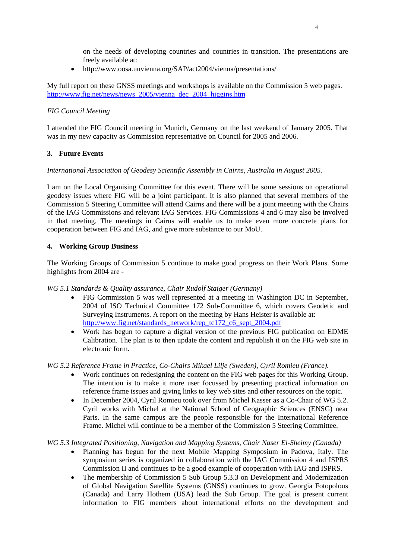on the needs of developing countries and countries in transition. The presentations are freely available at:

• http://www.oosa.unvienna.org/SAP/act2004/vienna/presentations/

My full report on these GNSS meetings and workshops is available on the Commission 5 web pages. http://www.fig.net/news/news\_2005/vienna\_dec\_2004\_higgins.htm

# *FIG Council Meeting*

I attended the FIG Council meeting in Munich, Germany on the last weekend of January 2005. That was in my new capacity as Commission representative on Council for 2005 and 2006.

# **3. Future Events**

### *International Association of Geodesy Scientific Assembly in Cairns, Australia in August 2005.*

I am on the Local Organising Committee for this event. There will be some sessions on operational geodesy issues where FIG will be a joint participant. It is also planned that several members of the Commission 5 Steering Committee will attend Cairns and there will be a joint meeting with the Chairs of the IAG Commissions and relevant IAG Services. FIG Commissions 4 and 6 may also be involved in that meeting. The meetings in Cairns will enable us to make even more concrete plans for cooperation between FIG and IAG, and give more substance to our MoU.

### **4. Working Group Business**

The Working Groups of Commission 5 continue to make good progress on their Work Plans. Some highlights from 2004 are -

*WG 5.1 Standards & Quality assurance, Chair Rudolf Staiger (Germany)* 

- FIG Commission 5 was well represented at a meeting in Washington DC in September, 2004 of ISO Technical Committee 172 Sub-Committee 6, which covers Geodetic and Surveying Instruments. A report on the meeting by Hans Heister is available at: http://www.fig.net/standards\_network/rep\_tc172\_c6\_sept\_2004.pdf
- Work has begun to capture a digital version of the previous FIG publication on EDME Calibration. The plan is to then update the content and republish it on the FIG web site in electronic form.

*WG 5.2 Reference Frame in Practice, Co-Chairs Mikael Lilje (Sweden), Cyril Romieu (France).* 

- Work continues on redesigning the content on the FIG web pages for this Working Group. The intention is to make it more user focussed by presenting practical information on reference frame issues and giving links to key web sites and other resources on the topic.
- In December 2004, Cyril Romieu took over from Michel Kasser as a Co-Chair of WG 5.2. Cyril works with Michel at the National School of Geographic Sciences (ENSG) near Paris. In the same campus are the people responsible for the International Reference Frame. Michel will continue to be a member of the Commission 5 Steering Committee.

*WG 5.3 Integrated Positioning, Navigation and Mapping Systems, Chair Naser El-Sheimy (Canada)* 

- Planning has begun for the next Mobile Mapping Symposium in Padova, Italy. The symposium series is organized in collaboration with the IAG Commission 4 and ISPRS Commission II and continues to be a good example of cooperation with IAG and ISPRS.
- The membership of Commission 5 Sub Group 5.3.3 on Development and Modernization of Global Navigation Satellite Systems (GNSS) continues to grow. Georgia Fotopolous (Canada) and Larry Hothem (USA) lead the Sub Group. The goal is present current information to FIG members about international efforts on the development and